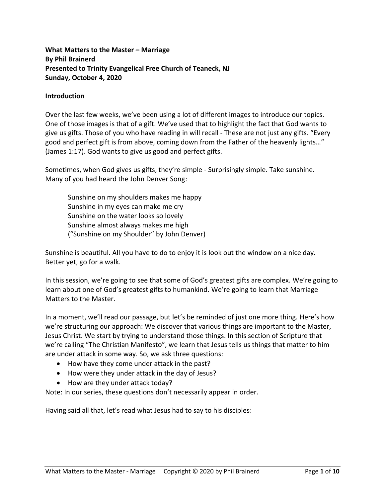**What Matters to the Master – Marriage By Phil Brainerd Presented to Trinity Evangelical Free Church of Teaneck, NJ Sunday, October 4, 2020**

#### **Introduction**

Over the last few weeks, we've been using a lot of different images to introduce our topics. One of those images is that of a gift. We've used that to highlight the fact that God wants to give us gifts. Those of you who have reading in will recall - These are not just any gifts. "Every good and perfect gift is from above, coming down from the Father of the heavenly lights…" (James 1:17). God wants to give us good and perfect gifts.

Sometimes, when God gives us gifts, they're simple - Surprisingly simple. Take sunshine. Many of you had heard the John Denver Song:

Sunshine on my shoulders makes me happy Sunshine in my eyes can make me cry Sunshine on the water looks so lovely Sunshine almost always makes me high ("Sunshine on my Shoulder" by John Denver)

Sunshine is beautiful. All you have to do to enjoy it is look out the window on a nice day. Better yet, go for a walk.

In this session, we're going to see that some of God's greatest gifts are complex. We're going to learn about one of God's greatest gifts to humankind. We're going to learn that Marriage Matters to the Master.

In a moment, we'll read our passage, but let's be reminded of just one more thing. Here's how we're structuring our approach: We discover that various things are important to the Master, Jesus Christ. We start by trying to understand those things. In this section of Scripture that we're calling "The Christian Manifesto", we learn that Jesus tells us things that matter to him are under attack in some way. So, we ask three questions:

- How have they come under attack in the past?
- How were they under attack in the day of Jesus?
- How are they under attack today?

Note: In our series, these questions don't necessarily appear in order.

Having said all that, let's read what Jesus had to say to his disciples: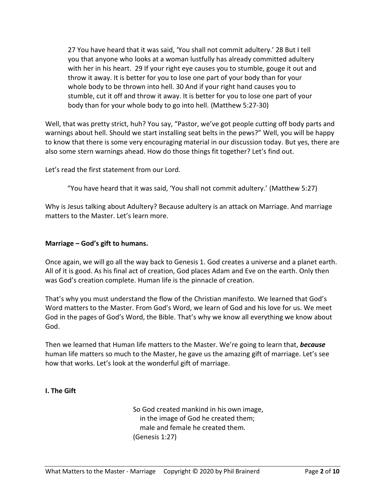27 You have heard that it was said, 'You shall not commit adultery.' 28 But I tell you that anyone who looks at a woman lustfully has already committed adultery with her in his heart. 29 If your right eye causes you to stumble, gouge it out and throw it away. It is better for you to lose one part of your body than for your whole body to be thrown into hell. 30 And if your right hand causes you to stumble, cut it off and throw it away. It is better for you to lose one part of your body than for your whole body to go into hell. (Matthew 5:27-30)

Well, that was pretty strict, huh? You say, "Pastor, we've got people cutting off body parts and warnings about hell. Should we start installing seat belts in the pews?" Well, you will be happy to know that there is some very encouraging material in our discussion today. But yes, there are also some stern warnings ahead. How do those things fit together? Let's find out.

Let's read the first statement from our Lord.

"You have heard that it was said, 'You shall not commit adultery.' (Matthew 5:27)

Why is Jesus talking about Adultery? Because adultery is an attack on Marriage. And marriage matters to the Master. Let's learn more.

### **Marriage – God's gift to humans.**

Once again, we will go all the way back to Genesis 1. God creates a universe and a planet earth. All of it is good. As his final act of creation, God places Adam and Eve on the earth. Only then was God's creation complete. Human life is the pinnacle of creation.

That's why you must understand the flow of the Christian manifesto. We learned that God's Word matters to the Master. From God's Word, we learn of God and his love for us. We meet God in the pages of God's Word, the Bible. That's why we know all everything we know about God.

Then we learned that Human life matters to the Master. We're going to learn that, *because* human life matters so much to the Master, he gave us the amazing gift of marriage. Let's see how that works. Let's look at the wonderful gift of marriage.

### **I. The Gift**

So God created mankind in his own image, in the image of God he created them; male and female he created them. (Genesis 1:27)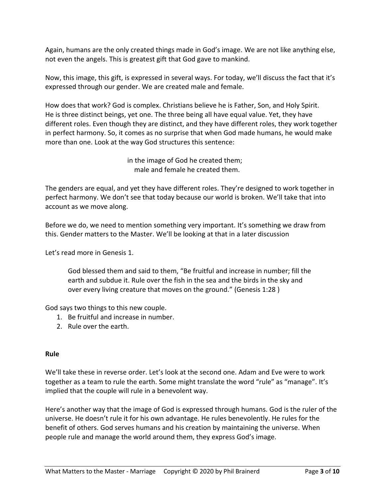Again, humans are the only created things made in God's image. We are not like anything else, not even the angels. This is greatest gift that God gave to mankind.

Now, this image, this gift, is expressed in several ways. For today, we'll discuss the fact that it's expressed through our gender. We are created male and female.

How does that work? God is complex. Christians believe he is Father, Son, and Holy Spirit. He is three distinct beings, yet one. The three being all have equal value. Yet, they have different roles. Even though they are distinct, and they have different roles, they work together in perfect harmony. So, it comes as no surprise that when God made humans, he would make more than one. Look at the way God structures this sentence:

> in the image of God he created them; male and female he created them.

The genders are equal, and yet they have different roles. They're designed to work together in perfect harmony. We don't see that today because our world is broken. We'll take that into account as we move along.

Before we do, we need to mention something very important. It's something we draw from this. Gender matters to the Master. We'll be looking at that in a later discussion

Let's read more in Genesis 1.

God blessed them and said to them, "Be fruitful and increase in number; fill the earth and subdue it. Rule over the fish in the sea and the birds in the sky and over every living creature that moves on the ground." (Genesis 1:28 )

God says two things to this new couple.

- 1. Be fruitful and increase in number.
- 2. Rule over the earth.

# **Rule**

We'll take these in reverse order. Let's look at the second one. Adam and Eve were to work together as a team to rule the earth. Some might translate the word "rule" as "manage". It's implied that the couple will rule in a benevolent way.

Here's another way that the image of God is expressed through humans. God is the ruler of the universe. He doesn't rule it for his own advantage. He rules benevolently. He rules for the benefit of others. God serves humans and his creation by maintaining the universe. When people rule and manage the world around them, they express God's image.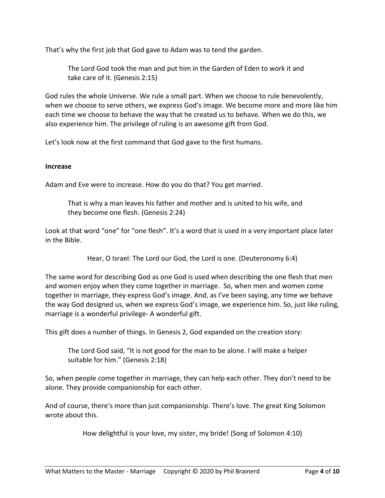That's why the first job that God gave to Adam was to tend the garden.

The Lord God took the man and put him in the Garden of Eden to work it and take care of it. (Genesis 2:15)

God rules the whole Universe. We rule a small part. When we choose to rule benevolently, when we choose to serve others, we express God's image. We become more and more like him each time we choose to behave the way that he created us to behave. When we do this, we also experience him. The privilege of ruling is an awesome gift from God.

Let's look now at the first command that God gave to the first humans.

### **Increase**

Adam and Eve were to increase. How do you do that? You get married.

That is why a man leaves his father and mother and is united to his wife, and they become one flesh. (Genesis 2:24)

Look at that word "one" for "one flesh". It's a word that is used in a very important place later in the Bible.

Hear, O Israel: The Lord our God, the Lord is one. (Deuteronomy 6:4)

The same word for describing God as one God is used when describing the one flesh that men and women enjoy when they come together in marriage. So, when men and women come together in marriage, they express God's image. And, as I've been saying, any time we behave the way God designed us, when we express God's image, we experience him. So, just like ruling, marriage is a wonderful privilege- A wonderful gift.

This gift does a number of things. In Genesis 2, God expanded on the creation story:

The Lord God said, "It is not good for the man to be alone. I will make a helper suitable for him." (Genesis 2:18)

So, when people come together in marriage, they can help each other. They don't need to be alone. They provide companionship for each other.

And of course, there's more than just companionship. There's love. The great King Solomon wrote about this.

How delightful is your love, my sister, my bride! (Song of Solomon 4:10)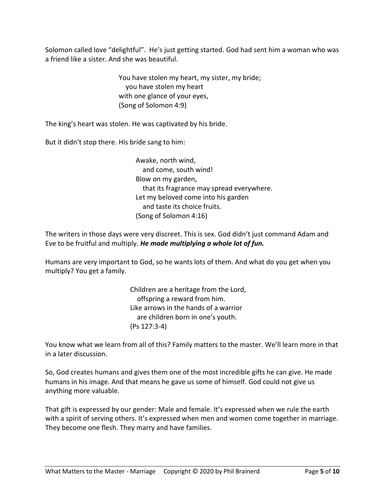Solomon called love "delightful". He's just getting started. God had sent him a woman who was a friend like a sister. And she was beautiful.

> You have stolen my heart, my sister, my bride; you have stolen my heart with one glance of your eyes, (Song of Solomon 4:9)

The king's heart was stolen. He was captivated by his bride.

But it didn't stop there. His bride sang to him:

Awake, north wind, and come, south wind! Blow on my garden, that its fragrance may spread everywhere. Let my beloved come into his garden and taste its choice fruits. (Song of Solomon 4:16)

The writers in those days were very discreet. This is sex. God didn't just command Adam and Eve to be fruitful and multiply. *He made multiplying a whole lot of fun.*

Humans are very important to God, so he wants lots of them. And what do you get when you multiply? You get a family.

> Children are a heritage from the Lord, offspring a reward from him. Like arrows in the hands of a warrior are children born in one's youth. (Ps 127:3-4)

You know what we learn from all of this? Family matters to the master. We'll learn more in that in a later discussion.

So, God creates humans and gives them one of the most incredible gifts he can give. He made humans in his image. And that means he gave us some of himself. God could not give us anything more valuable.

That gift is expressed by our gender: Male and female. It's expressed when we rule the earth with a spirit of serving others. It's expressed when men and women come together in marriage. They become one flesh. They marry and have families.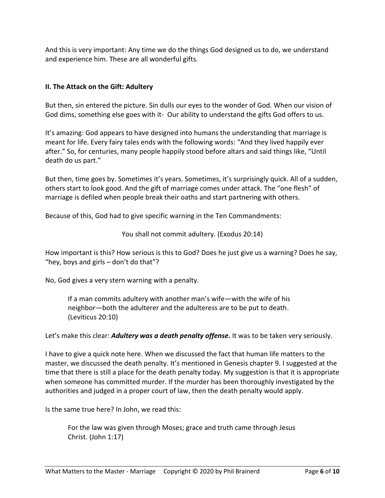And this is very important: Any time we do the things God designed us to do, we understand and experience him. These are all wonderful gifts.

# **II. The Attack on the Gift: Adultery**

But then, sin entered the picture. Sin dulls our eyes to the wonder of God. When our vision of God dims, something else goes with it- Our ability to understand the gifts God offers to us.

It's amazing: God appears to have designed into humans the understanding that marriage is meant for life. Every fairy tales ends with the following words: "And they lived happily ever after." So, for centuries, many people happily stood before altars and said things like, "Until death do us part."

But then, time goes by. Sometimes it's years. Sometimes, it's surprisingly quick. All of a sudden, others start to look good. And the gift of marriage comes under attack. The "one flesh" of marriage is defiled when people break their oaths and start partnering with others.

Because of this, God had to give specific warning in the Ten Commandments:

### You shall not commit adultery. (Exodus 20:14)

How important is this? How serious is this to God? Does he just give us a warning? Does he say, "hey, boys and girls – don't do that"?

No, God gives a very stern warning with a penalty.

If a man commits adultery with another man's wife—with the wife of his neighbor—both the adulterer and the adulteress are to be put to death. (Leviticus 20:10)

Let's make this clear: *Adultery was a death penalty offense.* It was to be taken very seriously.

I have to give a quick note here. When we discussed the fact that human life matters to the master, we discussed the death penalty. It's mentioned in Genesis chapter 9. I suggested at the time that there is still a place for the death penalty today. My suggestion is that it is appropriate when someone has committed murder. If the murder has been thoroughly investigated by the authorities and judged in a proper court of law, then the death penalty would apply.

Is the same true here? In John, we read this:

For the law was given through Moses; grace and truth came through Jesus Christ. (John 1:17)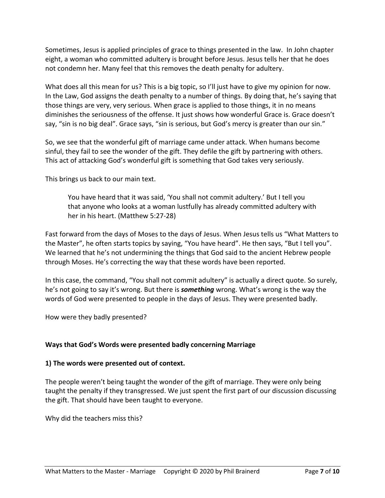Sometimes, Jesus is applied principles of grace to things presented in the law. In John chapter eight, a woman who committed adultery is brought before Jesus. Jesus tells her that he does not condemn her. Many feel that this removes the death penalty for adultery.

What does all this mean for us? This is a big topic, so I'll just have to give my opinion for now. In the Law, God assigns the death penalty to a number of things. By doing that, he's saying that those things are very, very serious. When grace is applied to those things, it in no means diminishes the seriousness of the offense. It just shows how wonderful Grace is. Grace doesn't say, "sin is no big deal". Grace says, "sin is serious, but God's mercy is greater than our sin."

So, we see that the wonderful gift of marriage came under attack. When humans become sinful, they fail to see the wonder of the gift. They defile the gift by partnering with others. This act of attacking God's wonderful gift is something that God takes very seriously.

This brings us back to our main text.

You have heard that it was said, 'You shall not commit adultery.' But I tell you that anyone who looks at a woman lustfully has already committed adultery with her in his heart. (Matthew 5:27-28)

Fast forward from the days of Moses to the days of Jesus. When Jesus tells us "What Matters to the Master", he often starts topics by saying, "You have heard". He then says, "But I tell you". We learned that he's not undermining the things that God said to the ancient Hebrew people through Moses. He's correcting the way that these words have been reported.

In this case, the command, "You shall not commit adultery" is actually a direct quote. So surely, he's not going to say it's wrong. But there is *something* wrong. What's wrong is the way the words of God were presented to people in the days of Jesus. They were presented badly.

How were they badly presented?

# **Ways that God's Words were presented badly concerning Marriage**

### **1) The words were presented out of context.**

The people weren't being taught the wonder of the gift of marriage. They were only being taught the penalty if they transgressed. We just spent the first part of our discussion discussing the gift. That should have been taught to everyone.

Why did the teachers miss this?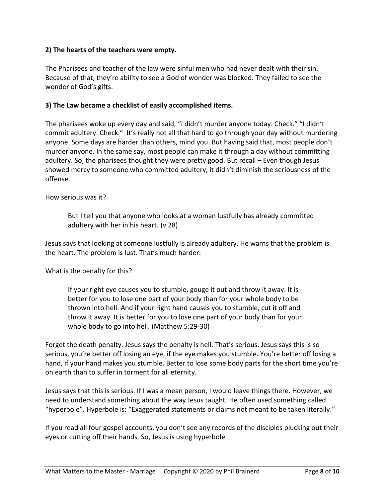### **2) The hearts of the teachers were empty.**

The Pharisees and teacher of the law were sinful men who had never dealt with their sin. Because of that, they're ability to see a God of wonder was blocked. They failed to see the wonder of God's gifts.

### **3) The Law became a checklist of easily accomplished items.**

The pharisees woke up every day and said, "I didn't murder anyone today. Check." "I didn't commit adultery. Check." It's really not all that hard to go through your day without murdering anyone. Some days are harder than others, mind you. But having said that, most people don't murder anyone. In the same say, most people can make it through a day without committing adultery. So, the pharisees thought they were pretty good. But recall – Even though Jesus showed mercy to someone who committed adultery, it didn't diminish the seriousness of the offense.

### How serious was it?

But I tell you that anyone who looks at a woman lustfully has already committed adultery with her in his heart. (v 28)

Jesus says that looking at someone lustfully is already adultery. He warns that the problem is the heart. The problem is lust. That's much harder.

What is the penalty for this?

If your right eye causes you to stumble, gouge it out and throw it away. It is better for you to lose one part of your body than for your whole body to be thrown into hell. And if your right hand causes you to stumble, cut it off and throw it away. It is better for you to lose one part of your body than for your whole body to go into hell. (Matthew 5:29-30)

Forget the death penalty. Jesus says the penalty is hell. That's serious. Jesus says this is so serious, you're better off losing an eye, if the eye makes you stumble. You're better off losing a hand, if your hand makes you stumble. Better to lose some body parts for the short time you're on earth than to suffer in torment for all eternity.

Jesus says that this is serious. If I was a mean person, I would leave things there. However, we need to understand something about the way Jesus taught. He often used something called "hyperbole". Hyperbole is: "Exaggerated statements or claims not meant to be taken literally."

If you read all four gospel accounts, you don't see any records of the disciples plucking out their eyes or cutting off their hands. So, Jesus is using hyperbole.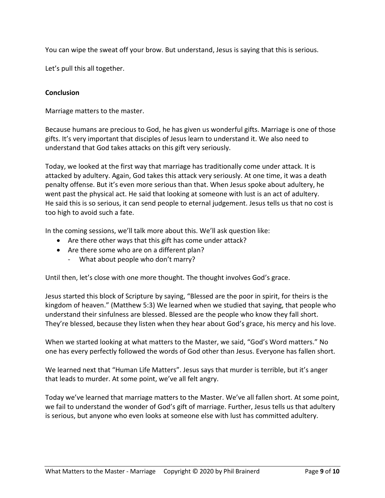You can wipe the sweat off your brow. But understand, Jesus is saying that this is serious.

Let's pull this all together.

### **Conclusion**

Marriage matters to the master.

Because humans are precious to God, he has given us wonderful gifts. Marriage is one of those gifts. It's very important that disciples of Jesus learn to understand it. We also need to understand that God takes attacks on this gift very seriously.

Today, we looked at the first way that marriage has traditionally come under attack. It is attacked by adultery. Again, God takes this attack very seriously. At one time, it was a death penalty offense. But it's even more serious than that. When Jesus spoke about adultery, he went past the physical act. He said that looking at someone with lust is an act of adultery. He said this is so serious, it can send people to eternal judgement. Jesus tells us that no cost is too high to avoid such a fate.

In the coming sessions, we'll talk more about this. We'll ask question like:

- Are there other ways that this gift has come under attack?
- Are there some who are on a different plan?
	- What about people who don't marry?

Until then, let's close with one more thought. The thought involves God's grace.

Jesus started this block of Scripture by saying, "Blessed are the poor in spirit, for theirs is the kingdom of heaven." (Matthew 5:3) We learned when we studied that saying, that people who understand their sinfulness are blessed. Blessed are the people who know they fall short. They're blessed, because they listen when they hear about God's grace, his mercy and his love.

When we started looking at what matters to the Master, we said, "God's Word matters." No one has every perfectly followed the words of God other than Jesus. Everyone has fallen short.

We learned next that "Human Life Matters". Jesus says that murder is terrible, but it's anger that leads to murder. At some point, we've all felt angry.

Today we've learned that marriage matters to the Master. We've all fallen short. At some point, we fail to understand the wonder of God's gift of marriage. Further, Jesus tells us that adultery is serious, but anyone who even looks at someone else with lust has committed adultery.